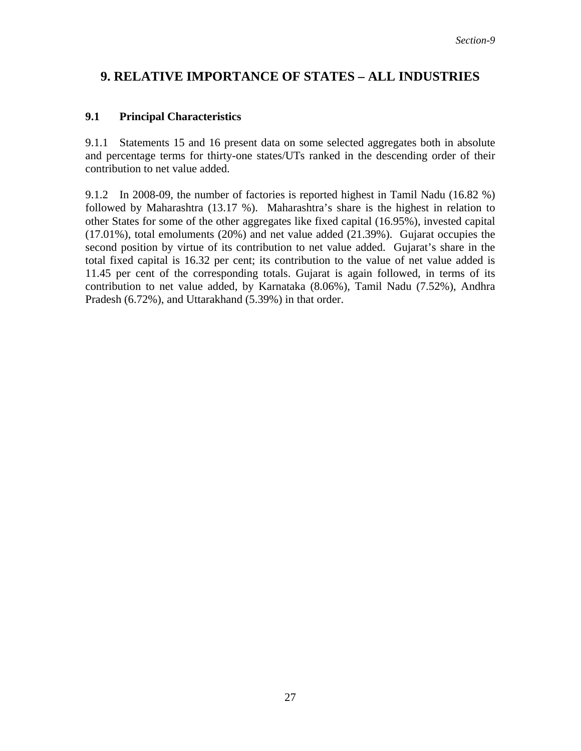## **9. RELATIVE IMPORTANCE OF STATES – ALL INDUSTRIES**

## **9.1 Principal Characteristics**

9.1.1 Statements 15 and 16 present data on some selected aggregates both in absolute and percentage terms for thirty-one states/UTs ranked in the descending order of their contribution to net value added.

9.1.2 In 2008-09, the number of factories is reported highest in Tamil Nadu (16.82 %) followed by Maharashtra (13.17 %). Maharashtra's share is the highest in relation to other States for some of the other aggregates like fixed capital (16.95%), invested capital (17.01%), total emoluments (20%) and net value added (21.39%). Gujarat occupies the second position by virtue of its contribution to net value added. Gujarat's share in the total fixed capital is 16.32 per cent; its contribution to the value of net value added is 11.45 per cent of the corresponding totals. Gujarat is again followed, in terms of its contribution to net value added, by Karnataka (8.06%), Tamil Nadu (7.52%), Andhra Pradesh (6.72%), and Uttarakhand (5.39%) in that order.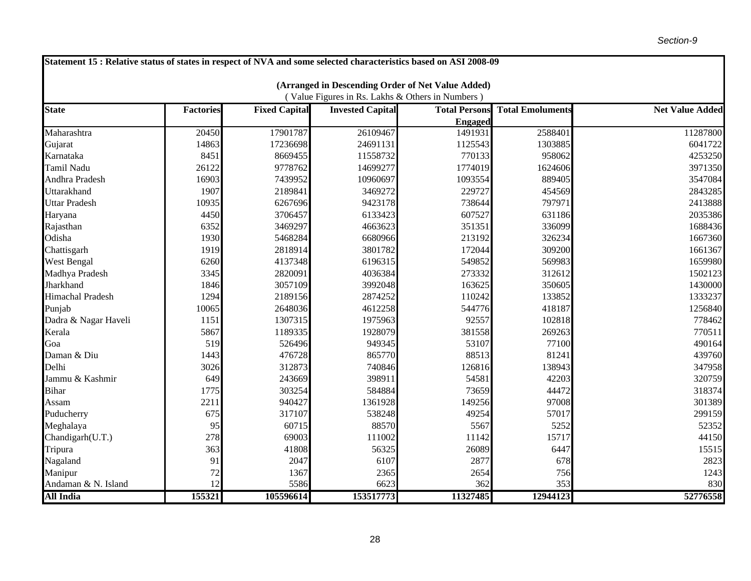| Statement 15 : Relative status of states in respect of NVA and some selected characteristics based on ASI 2008-09 |                  |                      |                         |                      |                         |                        |  |  |  |  |
|-------------------------------------------------------------------------------------------------------------------|------------------|----------------------|-------------------------|----------------------|-------------------------|------------------------|--|--|--|--|
|                                                                                                                   |                  |                      |                         |                      |                         |                        |  |  |  |  |
| (Arranged in Descending Order of Net Value Added)<br>(Value Figures in Rs. Lakhs & Others in Numbers)             |                  |                      |                         |                      |                         |                        |  |  |  |  |
| <b>State</b>                                                                                                      | <b>Factories</b> | <b>Fixed Capital</b> | <b>Invested Capital</b> | <b>Total Persons</b> | <b>Total Emoluments</b> | <b>Net Value Added</b> |  |  |  |  |
|                                                                                                                   |                  |                      |                         | <b>Engaged</b>       |                         |                        |  |  |  |  |
| Maharashtra                                                                                                       | 20450            | 17901787             | 26109467                | 1491931              | 2588401                 | 11287800               |  |  |  |  |
| Gujarat                                                                                                           | 14863            | 17236698             | 24691131                | 1125543              | 1303885                 | 6041722                |  |  |  |  |
| Karnataka                                                                                                         | 8451             | 8669455              | 11558732                | 770133               | 958062                  | 4253250                |  |  |  |  |
| Tamil Nadu                                                                                                        | 26122            | 9778762              | 14699277                | 1774019              | 1624606                 | 3971350                |  |  |  |  |
| Andhra Pradesh                                                                                                    | 16903            | 7439952              | 10960697                | 1093554              | 889405                  | 3547084                |  |  |  |  |
| Uttarakhand                                                                                                       | 1907             | 2189841              | 3469272                 | 229727               | 454569                  | 2843285                |  |  |  |  |
| <b>Uttar Pradesh</b>                                                                                              | 10935            | 6267696              | 9423178                 | 738644               | 797971                  | 2413888                |  |  |  |  |
| Haryana                                                                                                           | 4450             | 3706457              | 6133423                 | 607527               | 631186                  | 2035386                |  |  |  |  |
| Rajasthan                                                                                                         | 6352             | 3469297              | 4663623                 | 351351               | 336099                  | 1688436                |  |  |  |  |
| Odisha                                                                                                            | 1930             | 5468284              | 6680966                 | 213192               | 326234                  | 1667360                |  |  |  |  |
| Chattisgarh                                                                                                       | 1919             | 2818914              | 3801782                 | 172044               | 309200                  | 1661367                |  |  |  |  |
| <b>West Bengal</b>                                                                                                | 6260             | 4137348              | 6196315                 | 549852               | 569983                  | 1659980                |  |  |  |  |
| Madhya Pradesh                                                                                                    | 3345             | 2820091              | 4036384                 | 273332               | 312612                  | 1502123                |  |  |  |  |
| Jharkhand                                                                                                         | 1846             | 3057109              | 3992048                 | 163625               | 350605                  | 1430000                |  |  |  |  |
| <b>Himachal Pradesh</b>                                                                                           | 1294             | 2189156              | 2874252                 | 110242               | 133852                  | 1333237                |  |  |  |  |
| Punjab                                                                                                            | 10065            | 2648036              | 4612258                 | 544776               | 418187                  | 1256840                |  |  |  |  |
| Dadra & Nagar Haveli                                                                                              | 1151             | 1307315              | 1975963                 | 92557                | 102818                  | 778462                 |  |  |  |  |
| Kerala                                                                                                            | 5867             | 1189335              | 1928079                 | 381558               | 269263                  | 770511                 |  |  |  |  |
| Goa                                                                                                               | 519              | 526496               | 949345                  | 53107                | 77100                   | 490164                 |  |  |  |  |
| Daman & Diu                                                                                                       | 1443             | 476728               | 865770                  | 88513                | 81241                   | 439760                 |  |  |  |  |
| Delhi                                                                                                             | 3026             | 312873               | 740846                  | 126816               | 138943                  | 347958                 |  |  |  |  |
| Jammu & Kashmir                                                                                                   | 649              | 243669               | 398911                  | 54581                | 42203                   | 320759                 |  |  |  |  |
| <b>Bihar</b>                                                                                                      | 1775             | 303254               | 584884                  | 73659                | 44472                   | 318374                 |  |  |  |  |
| Assam                                                                                                             | 2211             | 940427               | 1361928                 | 149256               | 97008                   | 301389                 |  |  |  |  |
| Puducherry                                                                                                        | 675              | 317107               | 538248                  | 49254                | 57017                   | 299159                 |  |  |  |  |
| Meghalaya                                                                                                         | 95               | 60715                | 88570                   | 5567                 | 5252                    | 52352                  |  |  |  |  |
| Chandigarh(U.T.)                                                                                                  | 278              | 69003                | 111002                  | 11142                | 15717                   | 44150                  |  |  |  |  |
| Tripura                                                                                                           | 363              | 41808                | 56325                   | 26089                | 6447                    | 15515                  |  |  |  |  |
| Nagaland                                                                                                          | 91               | 2047                 | 6107                    | 2877                 | 678                     | 2823                   |  |  |  |  |
| Manipur                                                                                                           | 72               | 1367                 | 2365                    | 2654                 | 756                     | 1243                   |  |  |  |  |
| Andaman & N. Island                                                                                               | 12               | 5586                 | 6623                    | 362                  | 353                     | 830                    |  |  |  |  |
| <b>All India</b>                                                                                                  | 155321           | 105596614            | 153517773               | 11327485             | 12944123                | 52776558               |  |  |  |  |